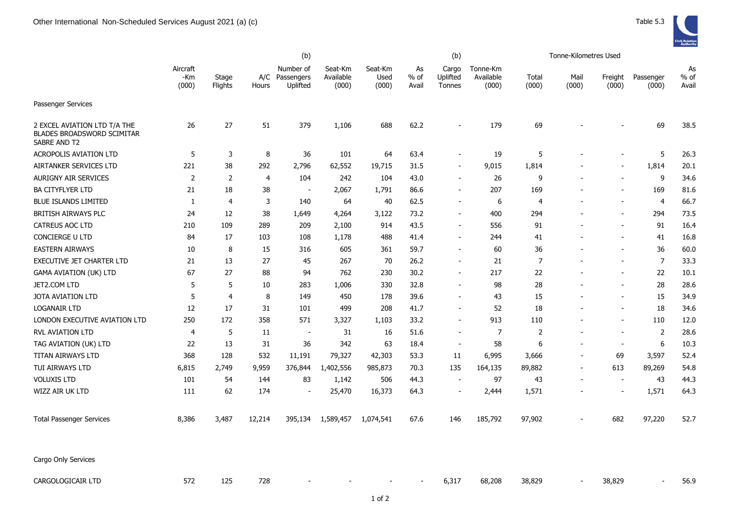|                                                                                   |                          |                  |              |                                     | (b)                           |                          |                     | Tonne-Kilometres Used              |                                |                |                          |                          |                    |                     |
|-----------------------------------------------------------------------------------|--------------------------|------------------|--------------|-------------------------------------|-------------------------------|--------------------------|---------------------|------------------------------------|--------------------------------|----------------|--------------------------|--------------------------|--------------------|---------------------|
|                                                                                   | Aircraft<br>-Km<br>(000) | Stage<br>Flights | A/C<br>Hours | Number of<br>Passengers<br>Uplifted | Seat-Km<br>Available<br>(000) | Seat-Km<br>Used<br>(000) | As<br>% of<br>Avail | Cargo<br>Uplifted<br><b>Tonnes</b> | Tonne-Km<br>Available<br>(000) | Total<br>(000) | Mail<br>(000)            | Freight<br>(000)         | Passenger<br>(000) | As<br>% of<br>Avail |
| <b>Passenger Services</b>                                                         |                          |                  |              |                                     |                               |                          |                     |                                    |                                |                |                          |                          |                    |                     |
| 2 EXCEL AVIATION LTD T/A THE<br><b>BLADES BROADSWORD SCIMITAR</b><br>SABRE AND T2 | 26                       | 27               | 51           | 379                                 | 1,106                         | 688                      | 62.2                |                                    | 179                            | 69             |                          |                          | 69                 | 38.5                |
| <b>ACROPOLIS AVIATION LTD</b>                                                     | 5                        | 3                | 8            | 36                                  | 101                           | 64                       | 63.4                |                                    | 19                             | 5              |                          |                          | 5                  | 26.3                |
| AIRTANKER SERVICES LTD                                                            | 221                      | 38               | 292          | 2,796                               | 62,552                        | 19,715                   | 31.5                | $\overline{\phantom{a}}$           | 9,015                          | 1,814          |                          |                          | 1,814              | 20.1                |
| <b>AURIGNY AIR SERVICES</b>                                                       | $\overline{2}$           | $\overline{2}$   | 4            | 104                                 | 242                           | 104                      | 43.0                |                                    | 26                             | 9              |                          |                          | 9                  | 34.6                |
| <b>BA CITYFLYER LTD</b>                                                           | 21                       | 18               | 38           | $\overline{\phantom{a}}$            | 2,067                         | 1,791                    | 86.6                |                                    | 207                            | 169            |                          |                          | 169                | 81.6                |
| <b>BLUE ISLANDS LIMITED</b>                                                       | 1                        | 4                | 3            | 140                                 | 64                            | 40                       | 62.5                | $\blacksquare$                     | 6                              | 4              |                          |                          | 4                  | 66.7                |
| BRITISH AIRWAYS PLC                                                               | 24                       | 12               | 38           | 1,649                               | 4,264                         | 3,122                    | 73.2                | $\overline{\phantom{a}}$           | 400                            | 294            |                          |                          | 294                | 73.5                |
| <b>CATREUS AOC LTD</b>                                                            | 210                      | 109              | 289          | 209                                 | 2,100                         | 914                      | 43.5                | $\overline{\phantom{a}}$           | 556                            | 91             |                          |                          | 91                 | 16.4                |
| <b>CONCIERGE U LTD</b>                                                            | 84                       | 17               | 103          | 108                                 | 1,178                         | 488                      | 41.4                |                                    | 244                            | 41             |                          |                          | 41                 | 16.8                |
| <b>EASTERN AIRWAYS</b>                                                            | 10                       | 8                | 15           | 316                                 | 605                           | 361                      | 59.7                |                                    | 60                             | 36             |                          |                          | 36                 | 60.0                |
| EXECUTIVE JET CHARTER LTD                                                         | 21                       | 13               | 27           | 45                                  | 267                           | 70                       | 26.2                | $\blacksquare$                     | 21                             | $\overline{7}$ |                          |                          | $\overline{7}$     | 33.3                |
| <b>GAMA AVIATION (UK) LTD</b>                                                     | 67                       | 27               | 88           | 94                                  | 762                           | 230                      | 30.2                | $\blacksquare$                     | 217                            | 22             |                          |                          | 22                 | 10.1                |
| JET2.COM LTD                                                                      | 5                        | 5                | 10           | 283                                 | 1,006                         | 330                      | 32.8                | $\overline{\phantom{a}}$           | 98                             | 28             |                          |                          | 28                 | 28.6                |
| <b>JOTA AVIATION LTD</b>                                                          | 5                        | 4                | 8            | 149                                 | 450                           | 178                      | 39.6                | $\overline{\phantom{a}}$           | 43                             | 15             |                          |                          | 15                 | 34.9                |
| <b>LOGANAIR LTD</b>                                                               | 12                       | 17               | 31           | 101                                 | 499                           | 208                      | 41.7                | $\blacksquare$                     | 52                             | 18             |                          |                          | 18                 | 34.6                |
| LONDON EXECUTIVE AVIATION LTD                                                     | 250                      | 172              | 358          | 571                                 | 3,327                         | 1,103                    | 33.2                |                                    | 913                            | 110            |                          |                          | 110                | 12.0                |
| RVL AVIATION LTD                                                                  | 4                        | 5                | 11           | $\sim$                              | 31                            | 16                       | 51.6                |                                    | $\overline{7}$                 | $\overline{2}$ |                          |                          | $\mathbf 2$        | 28.6                |
| TAG AVIATION (UK) LTD                                                             | 22                       | 13               | 31           | 36                                  | 342                           | 63                       | 18.4                | $\overline{\phantom{a}}$           | 58                             | 6              |                          | $\overline{\phantom{a}}$ | 6                  | 10.3                |
| TITAN AIRWAYS LTD                                                                 | 368                      | 128              | 532          | 11,191                              | 79,327                        | 42,303                   | 53.3                | 11                                 | 6,995                          | 3,666          | $\overline{\phantom{a}}$ | 69                       | 3,597              | 52.4                |
| TUI AIRWAYS LTD                                                                   | 6,815                    | 2,749            | 9,959        | 376,844                             | 1,402,556                     | 985,873                  | 70.3                | 135                                | 164,135                        | 89,882         | $\overline{\phantom{a}}$ | 613                      | 89,269             | 54.8                |
| <b>VOLUXIS LTD</b>                                                                | 101                      | 54               | 144          | 83                                  | 1,142                         | 506                      | 44.3                | $\overline{a}$                     | 97                             | 43             | $\overline{\phantom{a}}$ | $\blacksquare$           | 43                 | 44.3                |
| WIZZ AIR UK LTD                                                                   | 111                      | 62               | 174          | $\overline{\phantom{a}}$            | 25,470                        | 16,373                   | 64.3                | $\blacksquare$                     | 2,444                          | 1,571          |                          | $\overline{\phantom{a}}$ | 1,571              | 64.3                |
| <b>Total Passenger Services</b>                                                   | 8,386                    | 3,487            | 12,214       | 395,134                             | 1,589,457                     | 1,074,541                | 67.6                | 146                                | 185,792                        | 97,902         |                          | 682                      | 97,220             | 52.7                |
| Cargo Only Services                                                               |                          |                  |              |                                     |                               |                          |                     |                                    |                                |                |                          |                          |                    |                     |
| CARGOLOGICAIR LTD                                                                 | 572                      | 125              | 728          |                                     |                               |                          |                     | 6.317                              | 68,208                         | 38,829         |                          | 38,829                   |                    | 56.9                |